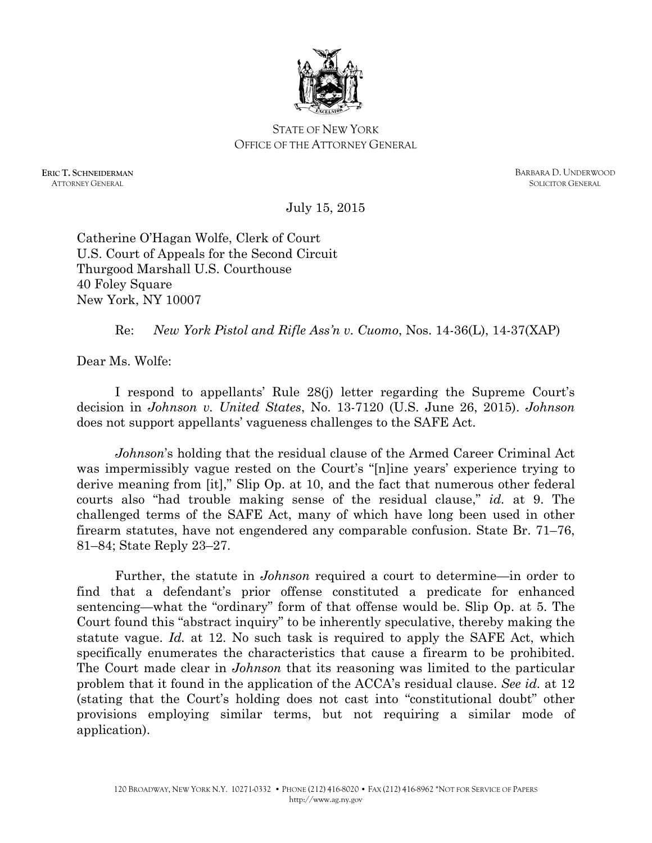

## STATE OF NEW YORK OFFICE OF THE ATTORNEY GENERAL

**ERIC T. SCHNEIDERMAN** ATTORNEY GENERAL

BARBARA D. UNDERWOOD SOLICITOR GENERAL

July 15, 2015

Catherine O'Hagan Wolfe, Clerk of Court U.S. Court of Appeals for the Second Circuit Thurgood Marshall U.S. Courthouse 40 Foley Square New York, NY 10007

Re: *New York Pistol and Rifle Ass'n v. Cuomo*, Nos. 14-36(L), 14-37(XAP)

Dear Ms. Wolfe:

I respond to appellants' Rule 28(j) letter regarding the Supreme Court's decision in *Johnson v. United States*, No. 13-7120 (U.S. June 26, 2015). *Johnson* does not support appellants' vagueness challenges to the SAFE Act.

*Johnson*'s holding that the residual clause of the Armed Career Criminal Act was impermissibly vague rested on the Court's "[n]ine years' experience trying to derive meaning from [it]," Slip Op. at 10, and the fact that numerous other federal courts also "had trouble making sense of the residual clause," *id.* at 9. The challenged terms of the SAFE Act, many of which have long been used in other firearm statutes, have not engendered any comparable confusion. State Br. 71–76, 81–84; State Reply 23–27.

Further, the statute in *Johnson* required a court to determine—in order to find that a defendant's prior offense constituted a predicate for enhanced sentencing—what the "ordinary" form of that offense would be. Slip Op. at 5. The Court found this "abstract inquiry" to be inherently speculative, thereby making the statute vague. *Id.* at 12. No such task is required to apply the SAFE Act, which specifically enumerates the characteristics that cause a firearm to be prohibited. The Court made clear in *Johnson* that its reasoning was limited to the particular problem that it found in the application of the ACCA's residual clause. *See id.* at 12 (stating that the Court's holding does not cast into "constitutional doubt" other provisions employing similar terms, but not requiring a similar mode of application).